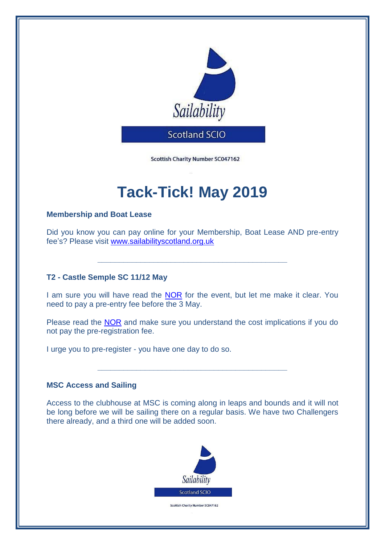

Scottish Charity Number SC047162

# **Tack-Tick! May 2019**

### **Membership and Boat Lease**

Did you know you can pay online for your Membership, Boat Lease AND pre-entry fee's? Please visit [www.sailabilityscotland.org.uk](http://www.sailabilityscotland.org.uk/)

**\_\_\_\_\_\_\_\_\_\_\_\_\_\_\_\_\_\_\_\_\_\_\_\_\_\_\_\_\_\_\_\_\_\_\_\_\_\_\_\_\_\_\_\_**

## **T2 - Castle Semple SC 11/12 May**

I am sure you will have read the [NOR](http://www.sailabilityscotland.org.uk/media/other/32393/CSSCNOR20191.pdf) for the event, but let me make it clear. You need to pay a pre-entry fee before the 3 May.

Please read the [NOR](http://www.sailabilityscotland.org.uk/media/other/32393/CSSCNOR20191.pdf) and make sure you understand the cost implications if you do not pay the pre-registration fee.

**\_\_\_\_\_\_\_\_\_\_\_\_\_\_\_\_\_\_\_\_\_\_\_\_\_\_\_\_\_\_\_\_\_\_\_\_\_\_\_\_\_\_\_\_**

I urge you to pre-register - you have one day to do so.

#### **MSC Access and Sailing**

Access to the clubhouse at MSC is coming along in leaps and bounds and it will not be long before we will be sailing there on a regular basis. We have two Challengers there already, and a third one will be added soon.



Scottish Charity Number SC047162